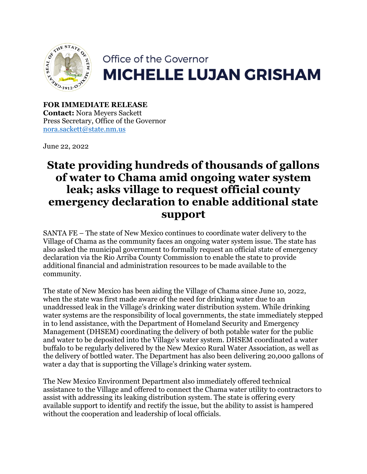

## Office of the Governor **MICHELLE LUJAN GRISHAM**

**FOR IMMEDIATE RELEASE Contact:** Nora Meyers Sackett Press Secretary, Office of the Governor [nora.sackett@state.nm.us](mailto:nora.sackett@state.nm.us)

June 22, 2022

## **State providing hundreds of thousands of gallons of water to Chama amid ongoing water system leak; asks village to request official county emergency declaration to enable additional state support**

SANTA FE – The state of New Mexico continues to coordinate water delivery to the Village of Chama as the community faces an ongoing water system issue. The state has also asked the municipal government to formally request an official state of emergency declaration via the Rio Arriba County Commission to enable the state to provide additional financial and administration resources to be made available to the community.

The state of New Mexico has been aiding the Village of Chama since June 10, 2022, when the state was first made aware of the need for drinking water due to an unaddressed leak in the Village's drinking water distribution system. While drinking water systems are the responsibility of local governments, the state immediately stepped in to lend assistance, with the Department of Homeland Security and Emergency Management (DHSEM) coordinating the delivery of both potable water for the public and water to be deposited into the Village's water system. DHSEM coordinated a water buffalo to be regularly delivered by the New Mexico Rural Water Association, as well as the delivery of bottled water. The Department has also been delivering 20,000 gallons of water a day that is supporting the Village's drinking water system.

The New Mexico Environment Department also immediately offered technical assistance to the Village and offered to connect the Chama water utility to contractors to assist with addressing its leaking distribution system. The state is offering every available support to identify and rectify the issue, but the ability to assist is hampered without the cooperation and leadership of local officials.